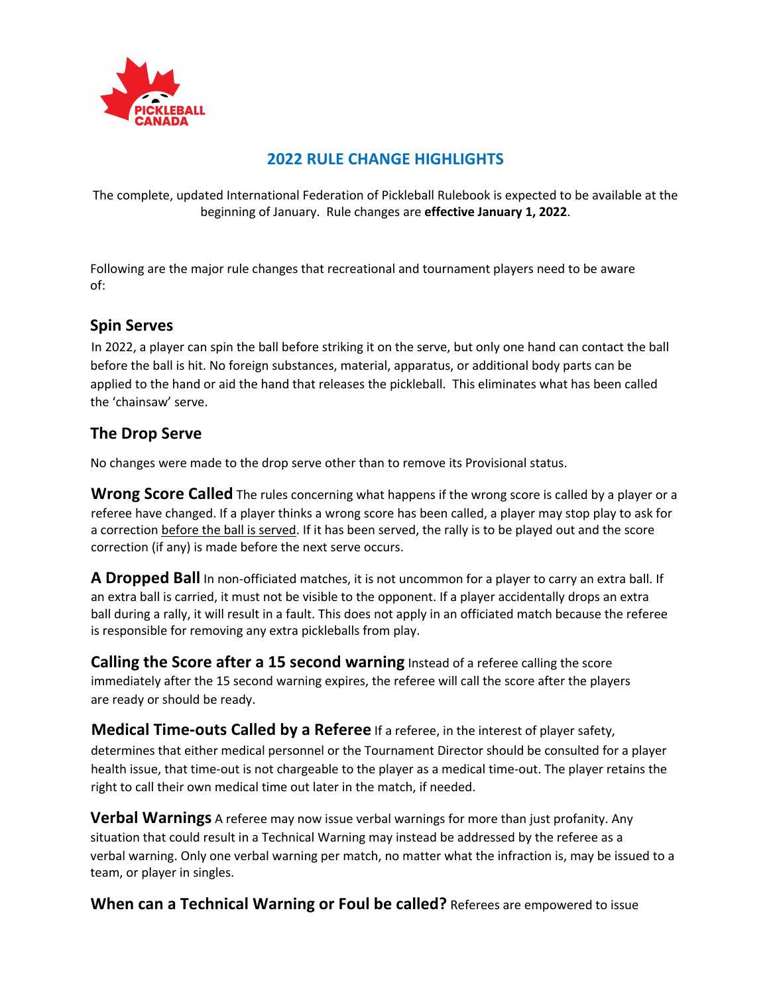

## **2022 RULE CHANGE HIGHLIGHTS**

The complete, updated International Federation of Pickleball Rulebook is expected to be available at the beginning of January. Rule changes are **effective January 1, 2022**.

Following are the major rule changes that recreational and tournament players need to be aware of:

## **Spin Serves**

In 2022, a player can spin the ball before striking it on the serve, but only one hand can contact the ball before the ball is hit. No foreign substances, material, apparatus, or additional body parts can be applied to the hand or aid the hand that releases the pickleball. This eliminates what has been called the 'chainsaw' serve.

## **The Drop Serve**

No changes were made to the drop serve other than to remove its Provisional status.

**Wrong Score Called** The rules concerning what happens if the wrong score is called by a player or a referee have changed. If a player thinks a wrong score has been called, a player may stop play to ask for a correction before the ball is served. If it has been served, the rally is to be played out and the score correction (if any) is made before the next serve occurs.

**A Dropped Ball** In non-officiated matches, it is not uncommon for a player to carry an extra ball. If an extra ball is carried, it must not be visible to the opponent. If a player accidentally drops an extra ball during a rally, it will result in a fault. This does not apply in an officiated match because the referee is responsible for removing any extra pickleballs from play.

**Calling the Score after a 15 second warning** Instead of a referee calling the score immediately after the 15 second warning expires, the referee will call the score after the players are ready or should be ready.

**Medical Time-outs Called by a Referee** If a referee, in the interest of player safety, determines that either medical personnel or the Tournament Director should be consulted for a player health issue, that time-out is not chargeable to the player as a medical time-out. The player retains the right to call their own medical time out later in the match, if needed.

**Verbal Warnings** A referee may now issue verbal warnings for more than just profanity. Any situation that could result in a Technical Warning may instead be addressed by the referee as a verbal warning. Only one verbal warning per match, no matter what the infraction is, may be issued to a team, or player in singles.

**When can a Technical Warning or Foul be called?** Referees are empowered to issue